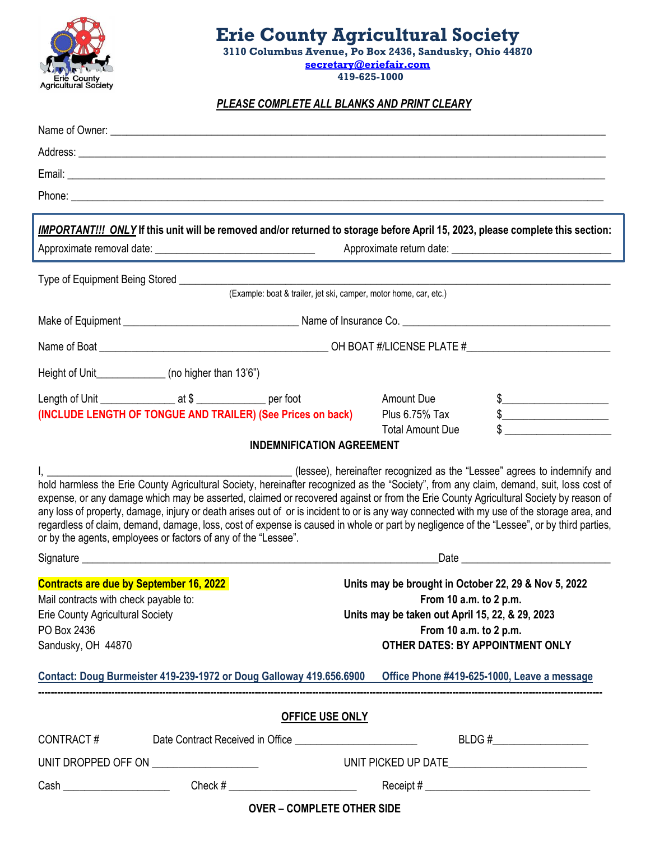

## **Erie County Agricultural Society**

 **3110 Columbus Avenue, Po Box 2436, Sandusky, Ohio 44870 [secretary@eriefair.com](mailto:secretary@eriefair.com) 419-625-1000**

*PLEASE COMPLETE ALL BLANKS AND PRINT CLEARY*

|                                                                                                                       | Phone: <u>The Communication</u> Contract of the Communication Communication Communication Communication Communication                                                                                                                                                                                                                                                                                                                                                                                                                                                                                                                        |                                                                                                                                                                                                                                |                            |                        |  |
|-----------------------------------------------------------------------------------------------------------------------|----------------------------------------------------------------------------------------------------------------------------------------------------------------------------------------------------------------------------------------------------------------------------------------------------------------------------------------------------------------------------------------------------------------------------------------------------------------------------------------------------------------------------------------------------------------------------------------------------------------------------------------------|--------------------------------------------------------------------------------------------------------------------------------------------------------------------------------------------------------------------------------|----------------------------|------------------------|--|
|                                                                                                                       | <b>IMPORTANT!!! ONLY</b> If this unit will be removed and/or returned to storage before April 15, 2023, please complete this section:                                                                                                                                                                                                                                                                                                                                                                                                                                                                                                        |                                                                                                                                                                                                                                |                            |                        |  |
|                                                                                                                       |                                                                                                                                                                                                                                                                                                                                                                                                                                                                                                                                                                                                                                              |                                                                                                                                                                                                                                |                            |                        |  |
|                                                                                                                       | (Example: boat & trailer, jet ski, camper, motor home, car, etc.)                                                                                                                                                                                                                                                                                                                                                                                                                                                                                                                                                                            |                                                                                                                                                                                                                                |                            |                        |  |
|                                                                                                                       |                                                                                                                                                                                                                                                                                                                                                                                                                                                                                                                                                                                                                                              |                                                                                                                                                                                                                                |                            |                        |  |
|                                                                                                                       |                                                                                                                                                                                                                                                                                                                                                                                                                                                                                                                                                                                                                                              |                                                                                                                                                                                                                                |                            |                        |  |
|                                                                                                                       |                                                                                                                                                                                                                                                                                                                                                                                                                                                                                                                                                                                                                                              |                                                                                                                                                                                                                                |                            |                        |  |
|                                                                                                                       | Height of Unit_______________(no higher than 13'6")                                                                                                                                                                                                                                                                                                                                                                                                                                                                                                                                                                                          |                                                                                                                                                                                                                                |                            |                        |  |
|                                                                                                                       |                                                                                                                                                                                                                                                                                                                                                                                                                                                                                                                                                                                                                                              |                                                                                                                                                                                                                                | <b>Amount Due</b>          | $\frac{1}{2}$          |  |
|                                                                                                                       | (INCLUDE LENGTH OF TONGUE AND TRAILER) (See Prices on back)                                                                                                                                                                                                                                                                                                                                                                                                                                                                                                                                                                                  |                                                                                                                                                                                                                                | Plus 6.75% Tax             | $\frac{1}{2}$          |  |
|                                                                                                                       | <b>INDEMNIFICATION AGREEMENT</b>                                                                                                                                                                                                                                                                                                                                                                                                                                                                                                                                                                                                             |                                                                                                                                                                                                                                | <b>Total Amount Due</b>    |                        |  |
|                                                                                                                       | hold harmless the Erie County Agricultural Society, hereinafter recognized as the "Society", from any claim, demand, suit, loss cost of<br>expense, or any damage which may be asserted, claimed or recovered against or from the Erie County Agricultural Society by reason of<br>any loss of property, damage, injury or death arises out of or is incident to or is any way connected with my use of the storage area, and<br>regardless of claim, demand, damage, loss, cost of expense is caused in whole or part by negligence of the "Lessee", or by third parties,<br>or by the agents, employees or factors of any of the "Lessee". |                                                                                                                                                                                                                                |                            |                        |  |
|                                                                                                                       |                                                                                                                                                                                                                                                                                                                                                                                                                                                                                                                                                                                                                                              | Date experience and the series of the series of the series of the series of the series of the series of the series of the series of the series of the series of the series of the series of the series of the series of the se |                            |                        |  |
| Mail contracts with check payable to:<br><b>Erie County Agricultural Society</b><br>PO Box 2436<br>Sandusky, OH 44870 | <b>Contracts are due by September 16, 2022</b>                                                                                                                                                                                                                                                                                                                                                                                                                                                                                                                                                                                               | Units may be brought in October 22, 29 & Nov 5, 2022<br>From 10 a.m. to 2 p.m.<br>Units may be taken out April 15, 22, & 29, 2023<br>From 10 a.m. to 2 p.m.<br>OTHER DATES: BY APPOINTMENT ONLY                                |                            |                        |  |
|                                                                                                                       | Contact: Doug Burmeister 419-239-1972 or Doug Galloway 419.656.6900  Office Phone #419-625-1000, Leave a message                                                                                                                                                                                                                                                                                                                                                                                                                                                                                                                             |                                                                                                                                                                                                                                |                            |                        |  |
|                                                                                                                       |                                                                                                                                                                                                                                                                                                                                                                                                                                                                                                                                                                                                                                              | <b>OFFICE USE ONLY</b>                                                                                                                                                                                                         |                            |                        |  |
|                                                                                                                       |                                                                                                                                                                                                                                                                                                                                                                                                                                                                                                                                                                                                                                              |                                                                                                                                                                                                                                |                            | BLDG # $\qquad \qquad$ |  |
|                                                                                                                       | UNIT DROPPED OFF ON _________________________                                                                                                                                                                                                                                                                                                                                                                                                                                                                                                                                                                                                |                                                                                                                                                                                                                                |                            |                        |  |
|                                                                                                                       |                                                                                                                                                                                                                                                                                                                                                                                                                                                                                                                                                                                                                                              |                                                                                                                                                                                                                                |                            |                        |  |
|                                                                                                                       |                                                                                                                                                                                                                                                                                                                                                                                                                                                                                                                                                                                                                                              |                                                                                                                                                                                                                                | OVER – COMPLETE OTHER SIDE |                        |  |